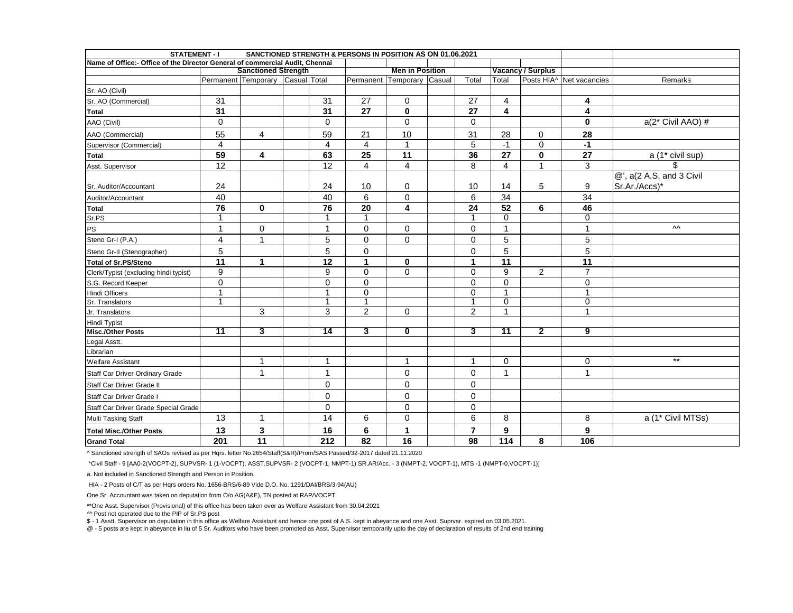| <b>STATEMENT - I</b>                                                         |                 |                                  |                 | SANCTIONED STRENGTH & PERSONS IN POSITION AS ON 01.06.2021 |                            |                 |                         |                          |                          |                                |
|------------------------------------------------------------------------------|-----------------|----------------------------------|-----------------|------------------------------------------------------------|----------------------------|-----------------|-------------------------|--------------------------|--------------------------|--------------------------------|
| Name of Office:- Office of the Director General of commercial Audit, Chennai |                 |                                  |                 |                                                            |                            |                 |                         |                          |                          |                                |
|                                                                              |                 | <b>Sanctioned Strength</b>       |                 |                                                            | <b>Men in Position</b>     |                 |                         | <b>Vacancy / Surplus</b> |                          |                                |
|                                                                              |                 | Permanent Temporary Casual Total |                 |                                                            | Permanent Temporary Casual | Total           | Total                   |                          | Posts HIA^ Net vacancies | Remarks                        |
| Sr. AO (Civil)                                                               |                 |                                  |                 |                                                            |                            |                 |                         |                          |                          |                                |
| Sr. AO (Commercial)                                                          | 31              |                                  | 31              | 27                                                         | $\Omega$                   | 27              | $\overline{4}$          |                          | 4                        |                                |
| <b>Total</b>                                                                 | 31              |                                  | 31              | 27                                                         | $\mathbf{0}$               | 27              | $\overline{\mathbf{4}}$ |                          | 4                        |                                |
| AAO (Civil)                                                                  | $\mathbf 0$     |                                  | $\Omega$        |                                                            | $\Omega$                   | $\mathbf 0$     |                         |                          | $\bf{0}$                 | a(2* Civil AAO) #              |
| AAO (Commercial)                                                             | 55              | 4                                | 59              | 21                                                         | 10                         | 31              | 28                      | 0                        | 28                       |                                |
| Supervisor (Commercial)                                                      | $\overline{4}$  |                                  | $\overline{4}$  | $\overline{4}$                                             | $\blacktriangleleft$       | $\overline{5}$  | $-1$                    | $\mathbf 0$              | $-1$                     |                                |
| <b>Total</b>                                                                 | 59              | 4                                | 63              | 25                                                         | $\overline{11}$            | 36              | 27                      | $\mathbf 0$              | 27                       | $\overline{a(1^*)}$ civil sup) |
| Asst. Supervisor                                                             | 12              |                                  | 12              | $\overline{4}$                                             | $\overline{\mathbf{4}}$    | $\overline{8}$  | $\overline{4}$          | $\overline{1}$           | $\overline{3}$           | \$.                            |
|                                                                              |                 |                                  |                 |                                                            |                            |                 |                         |                          |                          | @', a(2 A.S. and 3 Civil       |
| Sr. Auditor/Accountant                                                       | 24              |                                  | 24              | 10                                                         | 0                          | 10              | 14                      | 5                        | 9                        | Sr.Ar./Accs)*                  |
| Auditor/Accountant                                                           | 40              |                                  | 40              | 6                                                          | $\Omega$                   | 6               | 34                      |                          | 34                       |                                |
| <b>Total</b>                                                                 | 76              | $\mathbf{0}$                     | $\overline{76}$ | $\overline{20}$                                            | $\overline{\mathbf{4}}$    | $\overline{24}$ | 52                      | 6                        | 46                       |                                |
| Sr.PS                                                                        | 1               |                                  |                 |                                                            |                            |                 | $\overline{0}$          |                          | $\overline{0}$           |                                |
| PS                                                                           | 1               | 0                                | 1               | $\mathbf 0$                                                | $\Omega$                   | $\mathbf 0$     | $\mathbf{1}$            |                          | $\mathbf{1}$             | $\mathsf{v}\mathsf{v}$         |
| Steno Gr-I (P.A.)                                                            | $\overline{4}$  | $\mathbf{1}$                     | 5               | $\mathbf 0$                                                | $\Omega$                   | $\mathbf 0$     | 5                       |                          | 5                        |                                |
| Steno Gr-II (Stenographer)                                                   | 5               |                                  | 5               | $\mathbf 0$                                                |                            | $\pmb{0}$       | 5                       |                          | 5                        |                                |
| <b>Total of Sr.PS/Steno</b>                                                  | 11              | $\mathbf{1}$                     | 12              | $\mathbf{1}$                                               | $\bf{0}$                   | 1               | $\overline{11}$         |                          | $\overline{11}$          |                                |
| Clerk/Typist (excluding hindi typist)                                        | 9               |                                  | 9               | $\pmb{0}$                                                  | $\Omega$                   | $\pmb{0}$       | 9                       | $\overline{c}$           | $\overline{7}$           |                                |
| S.G. Record Keeper                                                           | $\mathsf 0$     |                                  | $\Omega$        | $\mathbf 0$                                                |                            | $\mathbf 0$     | $\mathbf 0$             |                          | $\mathbf 0$              |                                |
| Hindi Officers                                                               | $\overline{1}$  |                                  | 1               | $\mathbf 0$                                                |                            | $\mathbf 0$     | $\overline{1}$          |                          | 1                        |                                |
| Sr. Translators                                                              | -1              |                                  |                 | 1                                                          |                            | 1               | $\overline{0}$          |                          | $\overline{0}$           |                                |
| Jr. Translators                                                              |                 | 3                                | 3               | $\overline{c}$                                             | $\Omega$                   | $\overline{c}$  | $\overline{1}$          |                          | 1                        |                                |
| Hindi Typist                                                                 |                 |                                  |                 |                                                            |                            |                 |                         |                          |                          |                                |
| Misc./Other Posts                                                            | $\overline{11}$ | 3                                | $\overline{14}$ | 3                                                          | 0                          | 3               | $\overline{11}$         | $\overline{\mathbf{2}}$  | $\overline{9}$           |                                |
| Legal Asstt.                                                                 |                 |                                  |                 |                                                            |                            |                 |                         |                          |                          |                                |
| Librarian                                                                    |                 |                                  |                 |                                                            |                            |                 |                         |                          |                          |                                |
| <b>Welfare Assistant</b>                                                     |                 | $\mathbf{1}$                     | $\mathbf{1}$    |                                                            | $\mathbf 1$                | $\mathbf{1}$    | 0                       |                          | $\mathbf 0$              | $***$                          |
| Staff Car Driver Ordinary Grade                                              |                 | 1                                | $\mathbf{1}$    |                                                            | $\Omega$                   | $\mathbf 0$     | 1                       |                          | 1                        |                                |
| Staff Car Driver Grade II                                                    |                 |                                  | $\Omega$        |                                                            | $\Omega$                   | $\pmb{0}$       |                         |                          |                          |                                |
| Staff Car Driver Grade I                                                     |                 |                                  | $\Omega$        |                                                            | $\Omega$                   | $\mathbf 0$     |                         |                          |                          |                                |
| Staff Car Driver Grade Special Grade                                         |                 |                                  | $\mathbf 0$     |                                                            | 0                          | 0               |                         |                          |                          |                                |
| Multi Tasking Staff                                                          | 13              | $\mathbf{1}$                     | 14              | 6                                                          | 0                          | 6               | 8                       |                          | 8                        | a (1* Civil MTSs)              |
| <b>Total Misc./Other Posts</b>                                               | 13              | 3                                | 16              | 6                                                          | 1                          | $\overline{7}$  | 9                       |                          | 9                        |                                |
| <b>Grand Total</b>                                                           | 201             | 11                               | 212             | 82                                                         | 16                         | 98              | 114                     | 8                        | 106                      |                                |

^ Sanctioned strength of SAOs revised as per Hqrs. letter No.2654/Staff(S&R)/Prom/SAS Passed/32-2017 dated 21.11.2020

\*Civil Staff - 9 [AA0-2(VOCPT-2), SUPVSR- 1 (1-VOCPT), ASST.SUPVSR- 2 (VOCPT-1, NMPT-1) SR.AR/Acc. - 3 (NMPT-2, VOCPT-1), MTS -1 (NMPT-0,VOCPT-1)]

a. Not included in Sanctioned Strength and Person in Position.

HIA - 2 Posts of C/T as per Hqrs orders No. 1656-BRS/6-89 Vide D.O. No. 1291/DAI/BRS/3-94(AU)

One Sr. Accountant was taken on deputation from O/o AG(A&E), TN posted at RAP/VOCPT.

\*\*One Asst. Supervisor (Provisional) of this office has been taken over as Welfare Assistant from 30.04.2021

^^ Post not operated due to the PIP of Sr.PS post

\$ - 1 Asstt. Supervisor on deputation in this office as Welfare Assistant and hence one post of A.S. kept in abeyance and one Asst. Suprvsr. expired on 03.05.2021.

@ - 5 posts are kept in abeyance in liu of 5 Sr. Auditors who have been promoted as Asst. Supervisor temporarily upto the day of declaration of results of 2nd end training